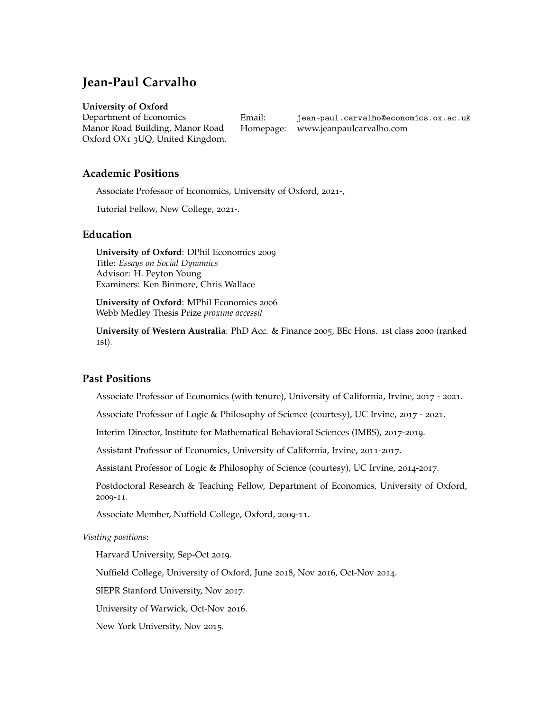# **Jean-Paul Carvalho**

#### **University of Oxford**

Department of Economics Manor Road Building, Manor Road Oxford OX1 3UQ, United Kingdom.

Email: [jean-paul.carvalho@economics.ox.ac.uk](mailto:) Homepage: [www.jeanpaulcarvalho.com](http://jeanpaulcarvalho.com)

## **Academic Positions**

Associate Professor of Economics, University of Oxford, 2021-,

Tutorial Fellow, New College, 2021-.

## **Education**

**University of Oxford**: DPhil Economics 2009 Title: *Essays on Social Dynamics* Advisor: H. Peyton Young Examiners: Ken Binmore, Chris Wallace

**University of Oxford**: MPhil Economics 2006 Webb Medley Thesis Prize *proxime accessit*

**University of Western Australia**: PhD Acc. & Finance 2005, BEc Hons. 1st class 2000 (ranked 1st).

## **Past Positions**

Associate Professor of Economics (with tenure), University of California, Irvine, 2017 - 2021.

Associate Professor of Logic & Philosophy of Science (courtesy), UC Irvine, 2017 - 2021.

Interim Director, Institute for Mathematical Behavioral Sciences (IMBS), 2017-2019.

Assistant Professor of Economics, University of California, Irvine, 2011-2017.

Assistant Professor of Logic & Philosophy of Science (courtesy), UC Irvine, 2014-2017.

Postdoctoral Research & Teaching Fellow, Department of Economics, University of Oxford, 2009-11.

Associate Member, Nuffield College, Oxford, 2009-11.

*Visiting positions*:

Harvard University, Sep-Oct 2019.

Nuffield College, University of Oxford, June 2018, Nov 2016, Oct-Nov 2014.

SIEPR Stanford University, Nov 2017.

University of Warwick, Oct-Nov 2016.

New York University, Nov 2015.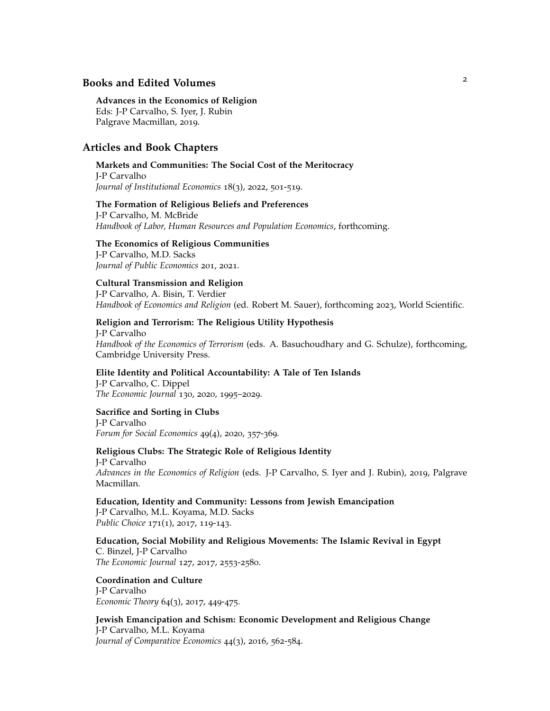## <sup>2</sup> **Books and Edited Volumes**

#### **Advances in the Economics of Religion**

Eds: J-P Carvalho, S. Iyer, J. Rubin Palgrave Macmillan, 2019.

## **Articles and Book Chapters**

#### **Markets and Communities: The Social Cost of the Meritocracy**

J-P Carvalho *Journal of Institutional Economics* 18(3), 2022, 501-519.

#### **The Formation of Religious Beliefs and Preferences**

J-P Carvalho, M. McBride *Handbook of Labor, Human Resources and Population Economics*, forthcoming.

#### **The Economics of Religious Communities**

J-P Carvalho, M.D. Sacks *Journal of Public Economics* 201, 2021.

#### **Cultural Transmission and Religion**

J-P Carvalho, A. Bisin, T. Verdier *Handbook of Economics and Religion* (ed. Robert M. Sauer), forthcoming 2023, World Scientific.

#### **Religion and Terrorism: The Religious Utility Hypothesis**

J-P Carvalho *Handbook of the Economics of Terrorism* (eds. A. Basuchoudhary and G. Schulze), forthcoming, Cambridge University Press.

### **Elite Identity and Political Accountability: A Tale of Ten Islands**

J-P Carvalho, C. Dippel *The Economic Journal* 130, 2020, 1995–2029.

#### **Sacrifice and Sorting in Clubs**

J-P Carvalho *Forum for Social Economics* 49(4), 2020, 357-369.

#### **Religious Clubs: The Strategic Role of Religious Identity**

J-P Carvalho *Advances in the Economics of Religion* (eds. J-P Carvalho, S. Iyer and J. Rubin), 2019, Palgrave Macmillan.

**Education, Identity and Community: Lessons from Jewish Emancipation** J-P Carvalho, M.L. Koyama, M.D. Sacks

*Public Choice* 171(1), 2017, 119-143.

**Education, Social Mobility and Religious Movements: The Islamic Revival in Egypt** C. Binzel, J-P Carvalho *The Economic Journal* 127, 2017, 2553-2580.

# **Coordination and Culture**

J-P Carvalho *Economic Theory* 64(3), 2017, 449-475.

**Jewish Emancipation and Schism: Economic Development and Religious Change** J-P Carvalho, M.L. Koyama *Journal of Comparative Economics* 44(3), 2016, 562-584.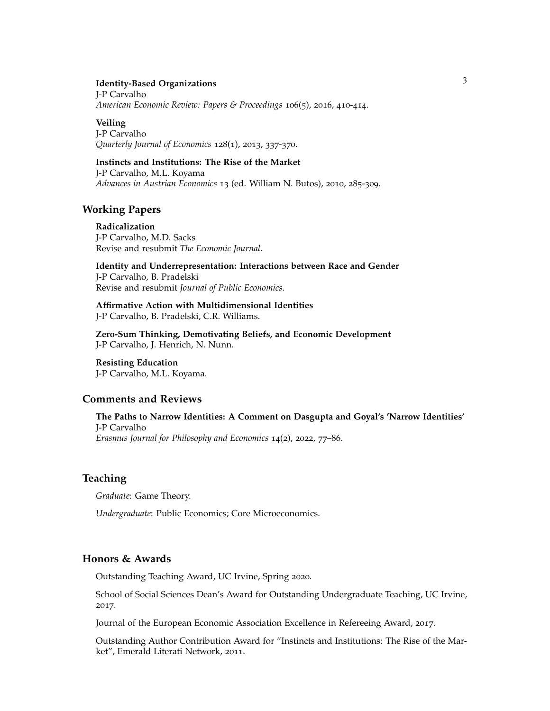#### **Identity-Based Organizations**

J-P Carvalho *American Economic Review: Papers & Proceedings* 106(5), 2016, 410-414.

#### **Veiling**

J-P Carvalho *Quarterly Journal of Economics* 128(1), 2013, 337-370.

# **Instincts and Institutions: The Rise of the Market**

J-P Carvalho, M.L. Koyama *Advances in Austrian Economics* 13 (ed. William N. Butos), 2010, 285-309.

### **Working Papers**

**Radicalization** J-P Carvalho, M.D. Sacks Revise and resubmit *The Economic Journal*.

**Identity and Underrepresentation: Interactions between Race and Gender** J-P Carvalho, B. Pradelski Revise and resubmit *Journal of Public Economics*.

**Affirmative Action with Multidimensional Identities** J-P Carvalho, B. Pradelski, C.R. Williams.

**Zero-Sum Thinking, Demotivating Beliefs, and Economic Development** J-P Carvalho, J. Henrich, N. Nunn.

**Resisting Education** J-P Carvalho, M.L. Koyama.

## **Comments and Reviews**

**The Paths to Narrow Identities: A Comment on Dasgupta and Goyal's 'Narrow Identities'** J-P Carvalho *Erasmus Journal for Philosophy and Economics* 14(2), 2022, 77–86.

#### **Teaching**

*Graduate*: Game Theory.

*Undergraduate*: Public Economics; Core Microeconomics.

## **Honors & Awards**

Outstanding Teaching Award, UC Irvine, Spring 2020.

School of Social Sciences Dean's Award for Outstanding Undergraduate Teaching, UC Irvine, 2017.

Journal of the European Economic Association Excellence in Refereeing Award, 2017.

Outstanding Author Contribution Award for "Instincts and Institutions: The Rise of the Market", Emerald Literati Network, 2011.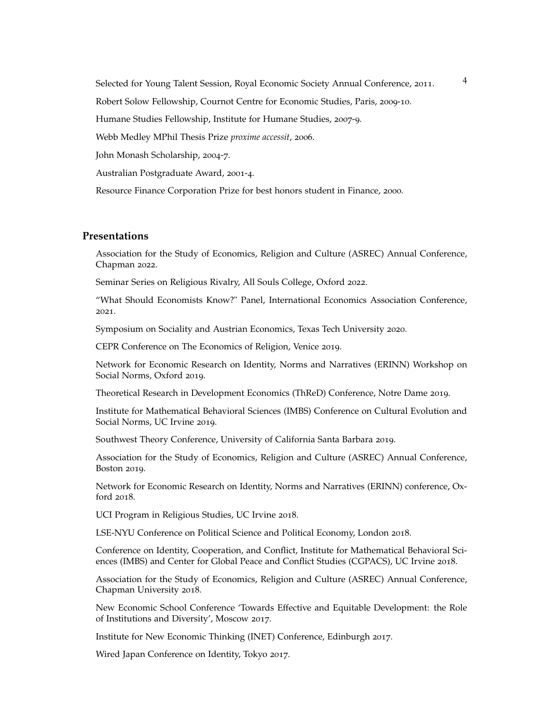Selected for Young Talent Session, Royal Economic Society Annual Conference, 2011.

Robert Solow Fellowship, Cournot Centre for Economic Studies, Paris, 2009-10.

Humane Studies Fellowship, Institute for Humane Studies, 2007-9.

Webb Medley MPhil Thesis Prize *proxime accessit*, 2006.

John Monash Scholarship, 2004-7.

Australian Postgraduate Award, 2001-4.

Resource Finance Corporation Prize for best honors student in Finance, 2000.

## **Presentations**

Association for the Study of Economics, Religion and Culture (ASREC) Annual Conference, Chapman 2022.

Seminar Series on Religious Rivalry, All Souls College, Oxford 2022.

"What Should Economists Know?" Panel, International Economics Association Conference, 2021.

Symposium on Sociality and Austrian Economics, Texas Tech University 2020.

CEPR Conference on The Economics of Religion, Venice 2019.

Network for Economic Research on Identity, Norms and Narratives (ERINN) Workshop on Social Norms, Oxford 2019.

Theoretical Research in Development Economics (ThReD) Conference, Notre Dame 2019.

Institute for Mathematical Behavioral Sciences (IMBS) Conference on Cultural Evolution and Social Norms, UC Irvine 2019.

Southwest Theory Conference, University of California Santa Barbara 2019.

Association for the Study of Economics, Religion and Culture (ASREC) Annual Conference, Boston 2019.

Network for Economic Research on Identity, Norms and Narratives (ERINN) conference, Oxford 2018.

UCI Program in Religious Studies, UC Irvine 2018.

LSE-NYU Conference on Political Science and Political Economy, London 2018.

Conference on Identity, Cooperation, and Conflict, Institute for Mathematical Behavioral Sciences (IMBS) and Center for Global Peace and Conflict Studies (CGPACS), UC Irvine 2018.

Association for the Study of Economics, Religion and Culture (ASREC) Annual Conference, Chapman University 2018.

New Economic School Conference 'Towards Effective and Equitable Development: the Role of Institutions and Diversity', Moscow 2017.

Institute for New Economic Thinking (INET) Conference, Edinburgh 2017.

Wired Japan Conference on Identity, Tokyo 2017.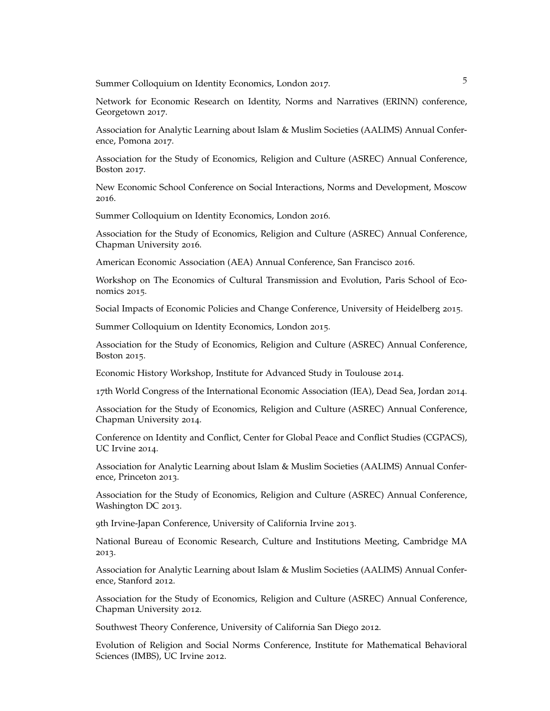Summer Colloquium on Identity Economics, London 2017.

Network for Economic Research on Identity, Norms and Narratives (ERINN) conference, Georgetown 2017.

Association for Analytic Learning about Islam & Muslim Societies (AALIMS) Annual Conference, Pomona 2017.

Association for the Study of Economics, Religion and Culture (ASREC) Annual Conference, Boston 2017.

New Economic School Conference on Social Interactions, Norms and Development, Moscow 2016.

Summer Colloquium on Identity Economics, London 2016.

Association for the Study of Economics, Religion and Culture (ASREC) Annual Conference, Chapman University 2016.

American Economic Association (AEA) Annual Conference, San Francisco 2016.

Workshop on The Economics of Cultural Transmission and Evolution, Paris School of Economics 2015.

Social Impacts of Economic Policies and Change Conference, University of Heidelberg 2015.

Summer Colloquium on Identity Economics, London 2015.

Association for the Study of Economics, Religion and Culture (ASREC) Annual Conference, Boston 2015.

Economic History Workshop, Institute for Advanced Study in Toulouse 2014.

17th World Congress of the International Economic Association (IEA), Dead Sea, Jordan 2014.

Association for the Study of Economics, Religion and Culture (ASREC) Annual Conference, Chapman University 2014.

Conference on Identity and Conflict, Center for Global Peace and Conflict Studies (CGPACS), UC Irvine 2014.

Association for Analytic Learning about Islam & Muslim Societies (AALIMS) Annual Conference, Princeton 2013.

Association for the Study of Economics, Religion and Culture (ASREC) Annual Conference, Washington DC 2013.

9th Irvine-Japan Conference, University of California Irvine 2013.

National Bureau of Economic Research, Culture and Institutions Meeting, Cambridge MA 2013.

Association for Analytic Learning about Islam & Muslim Societies (AALIMS) Annual Conference, Stanford 2012.

Association for the Study of Economics, Religion and Culture (ASREC) Annual Conference, Chapman University 2012.

Southwest Theory Conference, University of California San Diego 2012.

Evolution of Religion and Social Norms Conference, Institute for Mathematical Behavioral Sciences (IMBS), UC Irvine 2012.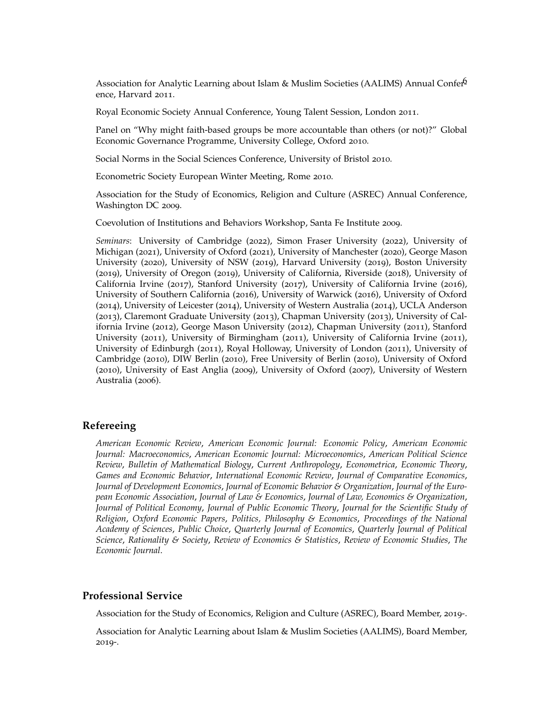Association for Analytic Learning about Islam & Muslim Societies (AALIMS) Annual Confer $6$ ence, Harvard 2011.

Royal Economic Society Annual Conference, Young Talent Session, London 2011.

Panel on "Why might faith-based groups be more accountable than others (or not)?" Global Economic Governance Programme, University College, Oxford 2010.

Social Norms in the Social Sciences Conference, University of Bristol 2010.

Econometric Society European Winter Meeting, Rome 2010.

Association for the Study of Economics, Religion and Culture (ASREC) Annual Conference, Washington DC 2009.

Coevolution of Institutions and Behaviors Workshop, Santa Fe Institute 2009.

*Seminars*: University of Cambridge (2022), Simon Fraser University (2022), University of Michigan (2021), University of Oxford (2021), University of Manchester (2020), George Mason University (2020), University of NSW (2019), Harvard University (2019), Boston University (2019), University of Oregon (2019), University of California, Riverside (2018), University of California Irvine (2017), Stanford University (2017), University of California Irvine (2016), University of Southern California (2016), University of Warwick (2016), University of Oxford (2014), University of Leicester (2014), University of Western Australia (2014), UCLA Anderson (2013), Claremont Graduate University (2013), Chapman University (2013), University of California Irvine (2012), George Mason University (2012), Chapman University (2011), Stanford University (2011), University of Birmingham (2011), University of California Irvine (2011), University of Edinburgh (2011), Royal Holloway, University of London (2011), University of Cambridge (2010), DIW Berlin (2010), Free University of Berlin (2010), University of Oxford (2010), University of East Anglia (2009), University of Oxford (2007), University of Western Australia (2006).

#### **Refereeing**

*American Economic Review*, *American Economic Journal: Economic Policy*, *American Economic Journal: Macroeconomics*, *American Economic Journal: Microeconomics*, *American Political Science Review*, *Bulletin of Mathematical Biology*, *Current Anthropology*, *Econometrica*, *Economic Theory*, *Games and Economic Behavior*, *International Economic Review*, *Journal of Comparative Economics*, *Journal of Development Economics*, *Journal of Economic Behavior & Organization*, *Journal of the European Economic Association*, *Journal of Law & Economics*, *Journal of Law, Economics & Organization*, *Journal of Political Economy*, *Journal of Public Economic Theory*, *Journal for the Scientific Study of Religion*, *Oxford Economic Papers*, *Politics, Philosophy & Economics*, *Proceedings of the National Academy of Sciences*, *Public Choice*, *Quarterly Journal of Economics*, *Quarterly Journal of Political Science*, *Rationality & Society*, *Review of Economics & Statistics*, *Review of Economic Studies*, *The Economic Journal*.

#### **Professional Service**

Association for the Study of Economics, Religion and Culture (ASREC), Board Member, 2019-.

Association for Analytic Learning about Islam & Muslim Societies (AALIMS), Board Member, 2019-.